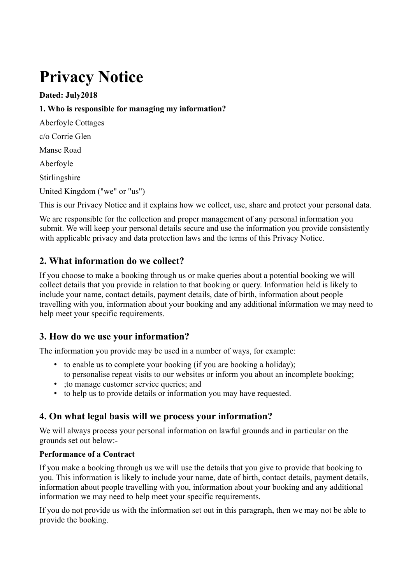# **Privacy Notice**

## **Dated: July2018**

## **1. Who is responsible for managing my information?**

Aberfoyle Cottages c/o Corrie Glen Manse Road Aberfoyle Stirlingshire United Kingdom ("we" or "us")

This is our Privacy Notice and it explains how we collect, use, share and protect your personal data.

We are responsible for the collection and proper management of any personal information you submit. We will keep your personal details secure and use the information you provide consistently with applicable privacy and data protection laws and the terms of this Privacy Notice.

# **2. What information do we collect?**

If you choose to make a booking through us or make queries about a potential booking we will collect details that you provide in relation to that booking or query. Information held is likely to include your name, contact details, payment details, date of birth, information about people travelling with you, information about your booking and any additional information we may need to help meet your specific requirements.

# **3. How do we use your information?**

The information you provide may be used in a number of ways, for example:

- to enable us to complete your booking (if you are booking a holiday); to personalise repeat visits to our websites or inform you about an incomplete booking;
- ;to manage customer service queries; and
- to help us to provide details or information you may have requested.

# **4. On what legal basis will we process your information?**

We will always process your personal information on lawful grounds and in particular on the grounds set out below:-

#### **Performance of a Contract**

If you make a booking through us we will use the details that you give to provide that booking to you. This information is likely to include your name, date of birth, contact details, payment details, information about people travelling with you, information about your booking and any additional information we may need to help meet your specific requirements.

If you do not provide us with the information set out in this paragraph, then we may not be able to provide the booking.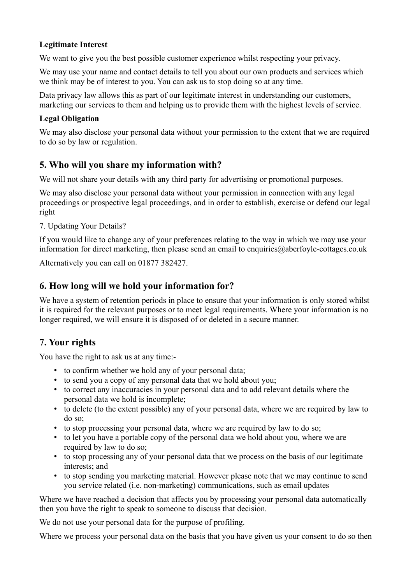#### **Legitimate Interest**

We want to give you the best possible customer experience whilst respecting your privacy.

We may use your name and contact details to tell you about our own products and services which we think may be of interest to you. You can ask us to stop doing so at any time.

Data privacy law allows this as part of our legitimate interest in understanding our customers, marketing our services to them and helping us to provide them with the highest levels of service.

#### **Legal Obligation**

We may also disclose your personal data without your permission to the extent that we are required to do so by law or regulation.

## **5. Who will you share my information with?**

We will not share your details with any third party for advertising or promotional purposes.

We may also disclose your personal data without your permission in connection with any legal proceedings or prospective legal proceedings, and in order to establish, exercise or defend our legal right

7. Updating Your Details?

If you would like to change any of your preferences relating to the way in which we may use your information for direct marketing, then please send an email to enquiries $@ab$ erfoyle-cottages.co.uk

Alternatively you can call on 01877 382427.

## **6. How long will we hold your information for?**

We have a system of retention periods in place to ensure that your information is only stored whilst it is required for the relevant purposes or to meet legal requirements. Where your information is no longer required, we will ensure it is disposed of or deleted in a secure manner.

## **7. Your rights**

You have the right to ask us at any time:-

- to confirm whether we hold any of your personal data;
- to send you a copy of any personal data that we hold about you;
- to correct any inaccuracies in your personal data and to add relevant details where the personal data we hold is incomplete;
- to delete (to the extent possible) any of your personal data, where we are required by law to do so;
- to stop processing your personal data, where we are required by law to do so;
- to let you have a portable copy of the personal data we hold about you, where we are required by law to do so;
- to stop processing any of your personal data that we process on the basis of our legitimate interests; and
- to stop sending you marketing material. However please note that we may continue to send you service related (i.e. non-marketing) communications, such as email updates

Where we have reached a decision that affects you by processing your personal data automatically then you have the right to speak to someone to discuss that decision.

We do not use your personal data for the purpose of profiling.

Where we process your personal data on the basis that you have given us your consent to do so then